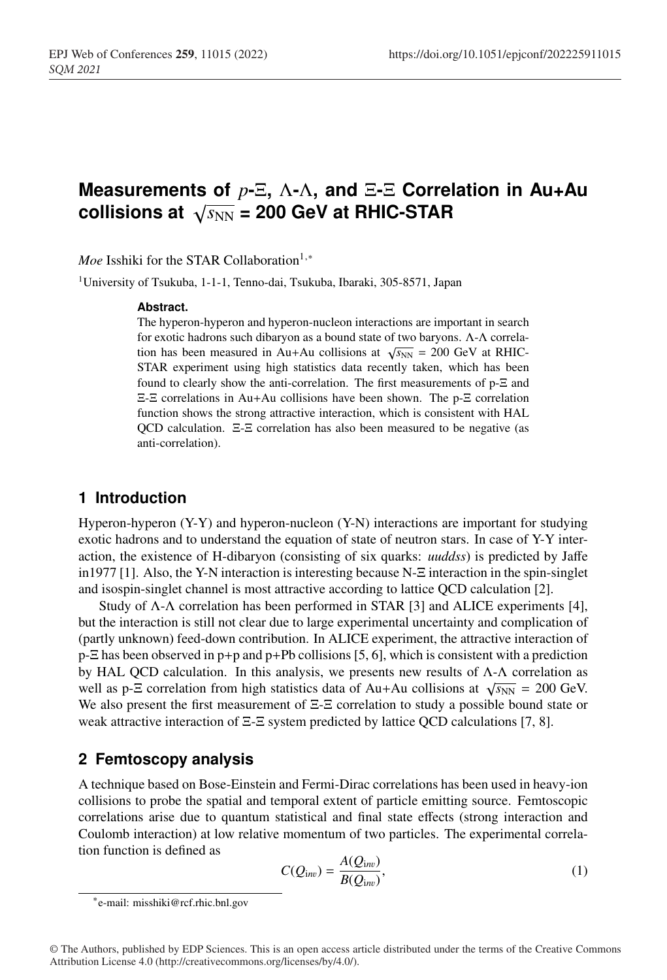# <sup>1</sup> **Measurements of** *p***-**Ξ**,** Λ**-**Λ**, and** Ξ**-**Ξ **Correlation in Au+Au** collisions at  $\sqrt{s_{NN}}$  = 200 GeV at RHIC-STAR

*Moe* Isshiki for the STAR Collaboration<sup>1,∗</sup>

<sup>1</sup> University of Tsukuba, 1-1-1, Tenno-dai, Tsukuba, Ibaraki, 305-8571, Japan

#### <sup>5</sup> **Abstract.**

The hyperon-hyperon and hyperon-nucleon interactions are important in search <sup>7</sup> for exotic hadrons such dibaryon as a bound state of two baryons. Λ-Λ correlation has been measured in Au+Au collisions at  $\sqrt{s_{NN}}$  = 200 GeV at RHIC-STAR experiment using high statistics data recently taken, which has been found to clearly show the anti-correlation. The first measurements of p- $E$  and <sup>11</sup> Ξ-Ξ correlations in Au+Au collisions have been shown. The p-Ξ correlation function shows the strong attractive interaction, which is consistent with HAL <sup>13</sup> QCD calculation. Ξ-Ξ correlation has also been measured to be negative (as anti-correlation).

# <sup>15</sup> **1 Introduction**

Hyperon-hyperon  $(Y-Y)$  and hyperon-nucleon  $(Y-N)$  interactions are important for studying exotic hadrons and to understand the equation of state of neutron stars. In case of Y-Y inter-<sup>18</sup> action, the existence of H-dibaryon (consisting of six quarks: *uuddss*) is predicted by Jaffe <sup>19</sup> in1977 [1]. Also, the Y-N interaction is interesting because N-Ξ interaction in the spin-singlet <sup>20</sup> and isospin-singlet channel is most attractive according to lattice QCD calculation [2].

Study of  $\Lambda$ - $\Lambda$  correlation has been performed in STAR [3] and ALICE experiments [4], but the interaction is still not clear due to large experimental uncertainty and complication of (partly unknown) feed-down contribution. In ALICE experiment, the attractive interaction of  $p$ - $\Xi$  has been observed in  $p$ + $p$  and  $p$ + $Pb$  collisions [5, 6], which is consistent with a prediction by HAL QCD calculation. In this analysis, we presents new results of  $\Lambda$ - $\Lambda$  correlation as well as p- $\Xi$  correlation from high statistics data of Au+Au collisions at  $\sqrt{s_{NN}}$  = 200 GeV. We also present the first measurement of  $\Xi$ - $\Xi$  correlation to study a possible bound state or weak attractive interaction of  $\Xi$ - $\Xi$  system predicted by lattice QCD calculations [7, 8].

### <sup>29</sup> **2 Femtoscopy analysis**

<sup>30</sup> A technique based on Bose-Einstein and Fermi-Dirac correlations has been used in heavy-ion <sup>31</sup> collisions to probe the spatial and temporal extent of particle emitting source. Femtoscopic <sup>32</sup> correlations arise due to quantum statistical and final state effects (strong interaction and Coulomb interaction) at low relative momentum of two particles. The experimental correlation function is defined as

$$
C(Q_{\text{inv}}) = \frac{A(Q_{\text{inv}})}{B(Q_{\text{inv}})},\tag{1}
$$

<sup>∗</sup>e-mail: misshiki@rcf.rhic.bnl.gov

<sup>©</sup> The Authors, published by EDP Sciences. This is an open access article distributed under the terms of the Creative Commons Attribution License 4.0 (http://creativecommons.org/licenses/by/4.0/).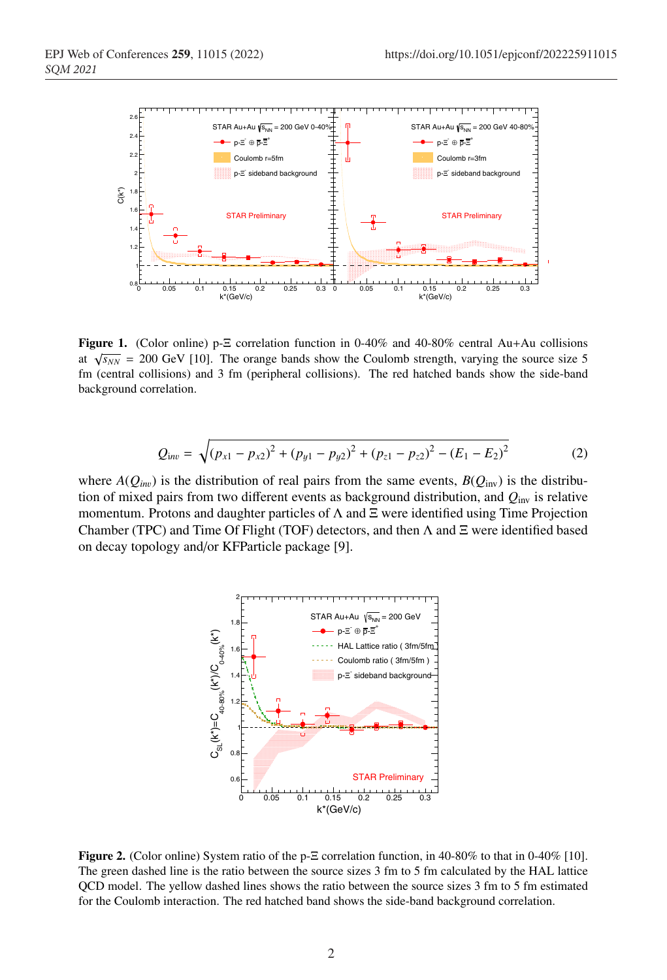

Figure 1. (Color online) p-Ξ correlation function in 0-40% and 40-80% central Au+Au collisions at  $\sqrt{s_{NN}}$  = 200 GeV [10]. The orange bands show the Coulomb strength, varying the source size 5 fm (central collisions) and 3 fm (peripheral collisions). The red hatched bands show the side-band background correlation.

$$
Q_{\text{inv}} = \sqrt{(p_{x1} - p_{x2})^2 + (p_{y1} - p_{y2})^2 + (p_{z1} - p_{z2})^2 - (E_1 - E_2)^2}
$$
 (2)

where  $A(Q_{inv})$  is the distribution of real pairs from the same events,  $B(Q_{inv})$  is the distribu-<sup>36</sup> tion of mixed pairs from two different events as background distribution, and *Q*inv is relative momentum. Protons and daughter particles of  $\Lambda$  and  $\Xi$  were identified using Time Projection Chamber (TPC) and Time Of Flight (TOF) detectors, and then  $\Lambda$  and  $\Xi$  were identified based on decay topology and/or KFParticle package [9].



Figure 2. (Color online) System ratio of the p-Ξ correlation function, in 40-80% to that in 0-40% [10]. The green dashed line is the ratio between the source sizes 3 fm to 5 fm calculated by the HAL lattice QCD model. The yellow dashed lines shows the ratio between the source sizes 3 fm to 5 fm estimated for the Coulomb interaction. The red hatched band shows the side-band background correlation.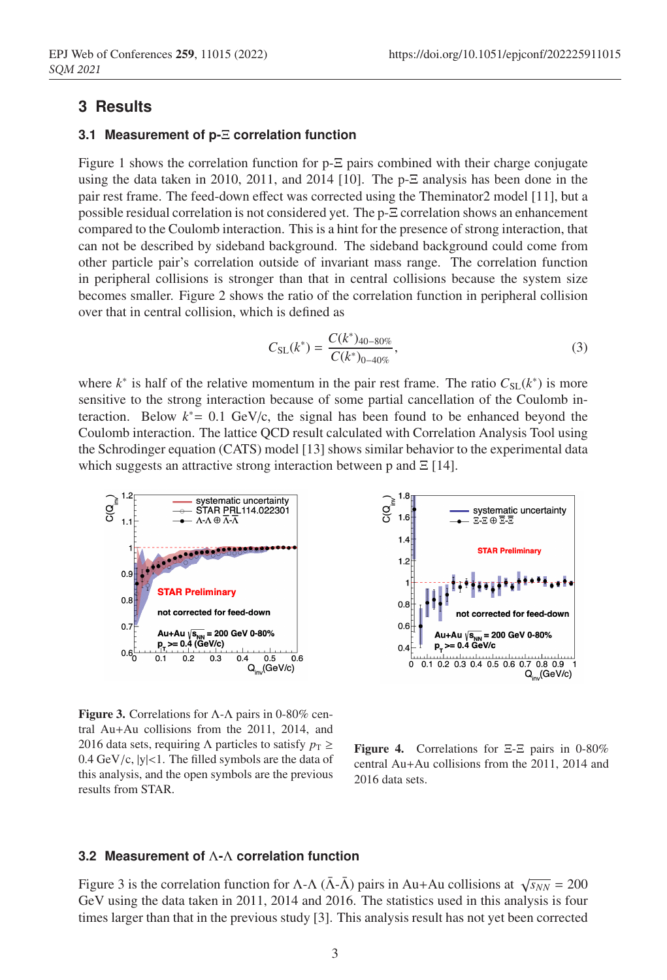### <sup>40</sup> **3 Results**

#### <sup>41</sup> **3.1 Measurement of p-**Ξ **correlation function**

Figure 1 shows the correlation function for  $p-\Xi$  pairs combined with their charge conjugate using the data taken in 2010, 2011, and 2014 [10]. The  $p-\Xi$  analysis has been done in the pair rest frame. The feed-down effect was corrected using the Theminator2 model [11], but a <sup>45</sup> possible residual correlation is not considered yet. The p-Ξ correlation shows an enhancement <sup>46</sup> compared to the Coulomb interaction. This is a hint for the presence of strong interaction, that can not be described by sideband background. The sideband background could come from <sup>48</sup> other particle pair's correlation outside of invariant mass range. The correlation function in peripheral collisions is stronger than that in central collisions because the system size <sup>50</sup> becomes smaller. Figure 2 shows the ratio of the correlation function in peripheral collision over that in central collision, which is defined as

$$
C_{\text{SL}}(k^*) = \frac{C(k^*)_{40-80\%}}{C(k^*)_{0-40\%}},\tag{3}
$$

where  $k^*$  is half of the relative momentum in the pair rest frame. The ratio  $C_{SL}(k^*)$  is more sensitive to the strong interaction because of some partial cancellation of the Coulomb interaction. Below  $k^* = 0.1$  GeV/c, the signal has been found to be enhanced beyond the <sup>55</sup> Coulomb interaction. The lattice QCD result calculated with Correlation Analysis Tool using the Schrodinger equation (CATS) model [13] shows similar behavior to the experimental data which suggests an attractive strong interaction between p and  $\Xi$  [14].



**Figure 3.** Correlations for  $\Lambda$ - $\Lambda$  pairs in 0-80% central Au+Au collisions from the 2011, 2014, and 2016 data sets, requiring  $\Lambda$  particles to satisfy  $p<sub>T</sub> \ge$  $0.4 \text{ GeV/c}, |y| < 1$ . The filled symbols are the data of this analysis, and the open symbols are the previous results from STAR.



Figure 4. Correlations for Ξ-Ξ pairs in 0-80% central Au+Au collisions from the 2011, 2014 and 2016 data sets.

#### <sup>58</sup> **3.2 Measurement of** Λ**-**Λ **correlation function**

Figure 3 is the correlation function for  $\Lambda$ - $\Lambda$  ( $\bar{\Lambda}$ - $\bar{\Lambda}$ ) pairs in Au+Au collisions at  $\sqrt{s_{NN}}$  = 200 <sup>60</sup> GeV using the data taken in 2011, 2014 and 2016. The statistics used in this analysis is four times larger than that in the previous study [3]. This analysis result has not yet been corrected